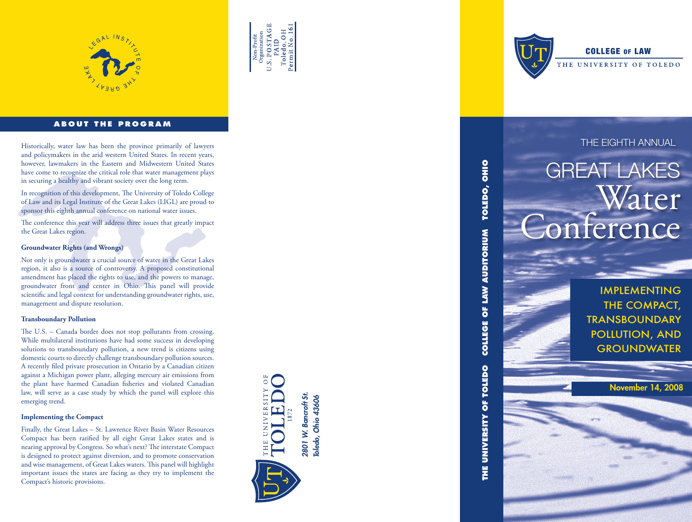



#### **ABOUT THE PROGRAM**

Historically, water law has been the province primarily of lawyers **THE EIGHTH ANNUAL** and policymakers in the arid western United States. In recent years, however, lawmakers in the Eastern and Midwestern United States have come to recognize the critical role that water management plays in securing a healthy and vibrant society over the long term.

In recognition of this development, The University of Toledo College of Law and its Legal Institute of the Great Lakes (LIGL) are proud to sponsor this eighth annual conference on national water issues.

The conference this year will address three issues that greatly impact the Great Lakes region.

#### **Groundwater Rights (and Wrongs)**

Not only is groundwater a crucial source of water in the Great Lakes region, it also is a source of controversy. A proposed constitutional amendment has placed the rights to use, and the powers to manage, groundwater front and center in Ohio. This panel will provide scientific and legal context for understanding groundwater rights, use, management and dispute resolution.

#### **Transboundary Pollution**

The U.S. – Canada border does not stop pollutants from crossing. While multilateral institutions have had some success in developing solutions to transboundary pollution, a new trend is citizens using domestic courts to directly challenge transboundary pollution sources. A recently filed private prosecution in Ontario by a Canadian citizen against a Michigan power plant, alleging mercury air emissions from the plant have harmed Canadian fisheries and violated Canadian law, will serve as a case study by which the panel will explore this emerging trend.

#### **Implementing the Compact**

Finally, the Great Lakes – St. Lawrence River Basin Water Resources Compact has been ratified by all eight Great Lakes states and is nearing approval by Congress. So what's next? The interstate Compact is designed to protect against diversion, and to promote conservation and wise management, of Great Lakes waters. This panel will highlight important issues the states are facing as they try to implement the Compact's historic provisions.





**THE UNIVERSITY OF TOLEDO COLLEGE OF LAW AUDITORIUM TOLEDO, OHIO**

THE UNIVERSITY OF TOLEDO

**COLLEGE OF LAW AUDITORIUM** 

TOLEDO, OHIO

#### **COLLEGE OF LAW**

THE UNIVERSITY OF TOLEDO

## GREAT LAKES Water Conference

Implementing THE COMPACT, **TRANSBOUNDARY** Pollution, and **GROUNDWATER** 

November 14, 2008